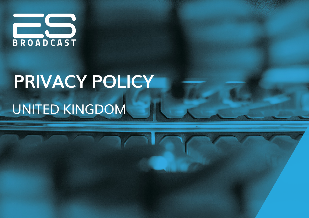

# **PRIVACY POLICY** UNITED KINGDOM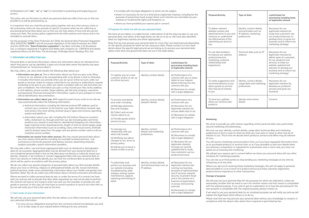ES Broadcast Ltd. ("**we**", "**us**" or "**our**") is committed to protecting and respecting your privacy.

This policy sets out the basis on which any personal data we collect from you or that you provide to us will be processed by us.

It is important that you read this privacy policy together with any other privacy notice or fair processing notice we may provide on specific occasions when we are collecting or processing personal data about you so that you are fully aware of how and why we are using your data. This privacy policy supplements the other policies and notices and is not intended to override them.

For the purposes of the Data Protection Act 2018, the General Data Protection Regulation ((EU) 2016/679) ("**GDPR**") and all successor legislation to the Data Protection Act 2018 and the GDPR (the "**Data Protection Legislation**"), the data controller is ES Broadcast Ltd., a company registered in England and Wales with company no. 13097814 and whose registered office is at 4th Floor, The Anchorage, 34 Bridge Street, Reading, RG1 2LU.

# **1 Information we collect from you**

Personal data, or personal information, means any information about an individual from which that person can be identified. It does not include data where the identity has been removed (known as "anonymous data").

We may collect, use, store and transfer the following data about you:

**• Information you give us.** This is information about you that you give us by filling in forms on our website or by corresponding with us by phone, e-mail or otherwise. It includes information you provide when you set up an online account, order our goods or services, make an enquiry, subscribe to our services or publications, request marketing to be sent to you, when you report a problem with our site and when you give us feedback. The information you give us may include your title, name, address, e-mail address, phone number, Skype address, job title and company, username and password, financial and payment information, copies of your passport or other official identification documentation.

**• Information we collect about you.** With regard to each of your visits to our site we may automatically collect the following information:

- o technical information, including the Internet protocol (IP) address used to connect your computer to the Internet, your login information, browser type and version, time zone setting, browser plug-in types and versions, operating system and platform;
- o information about your visit, including the full Uniform Resource Locators (URL), clickstream to, through and from our site (including date and time), products you viewed or searched for, abandoned shopping cart information, page response times, download errors, length of visits to certain pages, page interaction information (such as scrolling, clicks, and mouse-overs), methods used to browse away from the page, and any phone number used to call our customer service number.
- **Information we receive from other sources.** We may receive personal data about you from various third parties including, for example, business partners, subcontractors in technical, payment and delivery services, advertising networks, analytics providers, search information providers.

We may also collect, use and share aggregated data such as statistical or demographic data for any purpose. Aggregated data may be derived from your personal data but is not considered personal data in law as this data does not directly or indirectly reveal your identity. However, if we combine or connect aggregated data with your personal data so that it can directly or indirectly identify you, we treat the combined data as personal data which will be used in accordance with this privacy policy.

We do not collect any special categories of personal data about you (this includes details about your race or ethnicity, religious or philosophical beliefs, sex life, sexual orientation, political opinions, trade union membership, information about your health and genetic and biometric data). Nor do we collect any information about criminal convictions and offences.

Where we need to collect personal data by law, or under the terms of a contract we have with you and you fail to provide that data when requested, we may not be able to perform the contract we have or are trying to enter into with you (for example, to provide you with goods or services). In this case, we may have to cancel a product or service you have with us but we will notify you if this is the case at the time.

# **2 Uses made of your information**

We will only use your personal data when the law allows us to. Most commonly, we will use your personal information

• to carry out our obligations arising from any contracts entered into between you and us or to take steps at your request before entering into any contracts;

• to comply with any legal obligations to which we are subject;

• where it is necessary for our or a third party's legitimate interests, including for the purposes of preventing fraud, except where such interests are overridden by your interests or fundamental rights and freedoms; or

• where you have provided your express opt-in consent.

### **3 Purposes for which we will use your personal data**

We have set out below, in a table format, a description of all the ways we plan to use your personal data, and which of the legal bases we rely on to do so. We have also identified what our legitimate interests are where appropriate.

Note that we may process your personal data for more than one lawful ground depending on the specific purpose for which we are using your data. Please contact us if you need details about the specific legal ground we are relying on to process your personal data where more than one ground has been set out in the table below.

| Purpose/Activity                                                                                                                                                                               | Type of data                                                          | Lawful basis for<br>processing including basis<br>of legitimate interest                                                                                                                                                                                                                                                |
|------------------------------------------------------------------------------------------------------------------------------------------------------------------------------------------------|-----------------------------------------------------------------------|-------------------------------------------------------------------------------------------------------------------------------------------------------------------------------------------------------------------------------------------------------------------------------------------------------------------------|
| To register you as a new<br>customer and/or to set up<br>an online account                                                                                                                     | Identity, contact details                                             | (a) Performance of a<br>contract with you or steps<br>taken at your request<br>before entering into any<br>contract with you<br>(b) Necessary to comply<br>with a legal obligation                                                                                                                                      |
| To process and deliver<br>your order including:<br>(a) Manage payments,<br>fees and charges;<br>(b) Collect and recover<br>money owed to us:<br>(c) Provide goods and/or<br>services to you.   | Identity, contact details,<br>passport details                        | (a) Performance of a<br>contract with you<br>(b) Necessary for our<br>legitimate interests (to<br>recover debts due to us)<br>(c) Necessary to comply<br>with a legal obligation                                                                                                                                        |
| To manage our<br>relationship with you<br>which will include:<br>(a) Notifying you about<br>changes to our terms or<br>privacy policy;<br>(b) Asking you to leave a<br>review or take a survey | Identity, contact<br>details, and marketing<br>preferences            | (a) Performance of a<br>contract with you<br>(b) Necessary to comply<br>with a legal obligation<br>(c) Necessary for our<br>legitimate interests<br>(to keep our records<br>updated and to study<br>how customers use our<br>products/services)                                                                         |
| To administer and<br>protect our business and<br>our website (including<br>troubleshooting, data<br>analysis, testing, system<br>maintenance, support,<br>reporting and hosting of<br>data)    | Identity, contact details<br>and technical data such as<br>IP address | (a) Necessary for our<br>legitimate interests (for<br>running our business,<br>provision of administration<br>and IT services, network<br>security, to prevent fraud<br>and in the context of a<br>business reorganisation<br>or group restructuring<br>exercise)<br>(b) Necessary to comply<br>with a legal obligation |

| <b>Purpose/Activity</b>                                                                                                                                        | Type of data                                                                                 | Lawful basis for<br>processing including basis<br>of legitimate interest                                                                                                                                                            |
|----------------------------------------------------------------------------------------------------------------------------------------------------------------|----------------------------------------------------------------------------------------------|-------------------------------------------------------------------------------------------------------------------------------------------------------------------------------------------------------------------------------------|
| To deliver relevant<br>website content and<br>advertisements to you and<br>measure or understand<br>the effectiveness of the<br>advertising we serve to<br>you | Identity, contact details,<br>technical data such as<br>IP address, marketing<br>preferences | Necessary for our<br>legitimate interests (to<br>study how customers use<br>our products/services, to<br>develop them, to grow our<br>business and to inform our<br>marketing strategy)                                             |
| To use data analytics<br>to improve our website,<br>products/services,<br>marketing, customer<br>relationships and<br>experiences                              | Technical data such as IP<br>address                                                         | Necessary for our<br>legitimate interests (to<br>define types of customers<br>for our products and<br>services, to keep our<br>website updated and<br>relevant, to develop our<br>business and to inform our<br>marketing strategy) |
| To make suggestions and<br>recommendations to you<br>about goods or services<br>that may be of interest<br>to you                                              | Identity, contact details,<br>usage data and marketing<br>preferences                        | Necessary for our<br>legitimate interests (to<br>develop our products/<br>services and grow our<br>business)                                                                                                                        |
| To send you updates<br>about our services and<br>products                                                                                                      | Identity and contact<br>details                                                              | Consent                                                                                                                                                                                                                             |

# **Marketing**

We strive to provide you with choices regarding certain personal data uses, particularly around marketing and advertising.

We may use your identity, contact details, usage data, technical data and marketing preferences to form a view on what we think you may want or need, or what may be of interest to you. This is how we decide which products, services and offers may be relevant for you.

You will receive marketing communications from us if you have requested information from us or purchased products or services from us or if you provided us with your details when you entered a competition or registered for a promotion and, in each case, you have not opted out of receiving that marketing.

We will get your express opt-in consent before we share your personal data with any other company for marketing purposes.

You can ask us or third parties to stop sending you marketing messages at any time by contacting us at any time.

Where you opt out of receiving these marketing messages, this will not apply to personal data provided to us as a result of a product/service purchase, warranty registration, product/service experience or other transactions.

# **Change of purpose**

We will only use your personal data for the purposes for which we collected it, unless we reasonably consider that we need to use it for another reason and that reason is compatible with the original purpose. If you wish to get an explanation as to how the processing for the new purpose is compatible with the original purpose, please contact us.

If we need to use your personal data for an unrelated purpose, we will notify you and we will explain the legal basis which allows us to do so.

Please note that we may process your personal data without your knowledge or consent, in compliance with the above rules, where this is required or permitted by law.